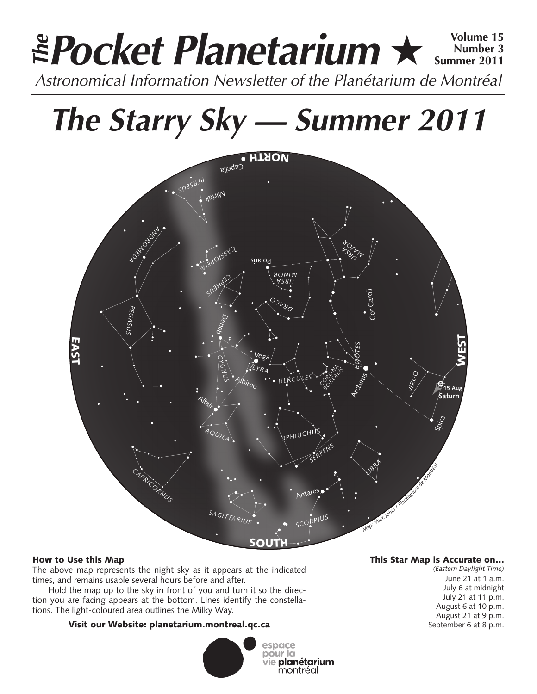# **Pocket Planetarium** ★ **Volume 15** Astronomical Information Newsletter of the Planétarium de Montréal **The Number 3 Summer 2011**

# **The Starry Sky — Summer 2011**



## How to Use this Map

The above map represents the night sky as it appears at the indicated times, and remains usable several hours before and after.

Hold the map up to the sky in front of you and turn it so the direction you are facing appears at the bottom. Lines identify the constellations. The light-coloured area outlines the Milky Way.

## Visit our Website: planetarium.montreal.qc.ca



## This Star Map is Accurate on…

*(Eastern Daylight Time)* June 21 at 1 a.m. July 6 at midnight July 21 at 11 p.m. August 6 at 10 p.m. August 21 at 9 p.m. September 6 at 8 p.m.